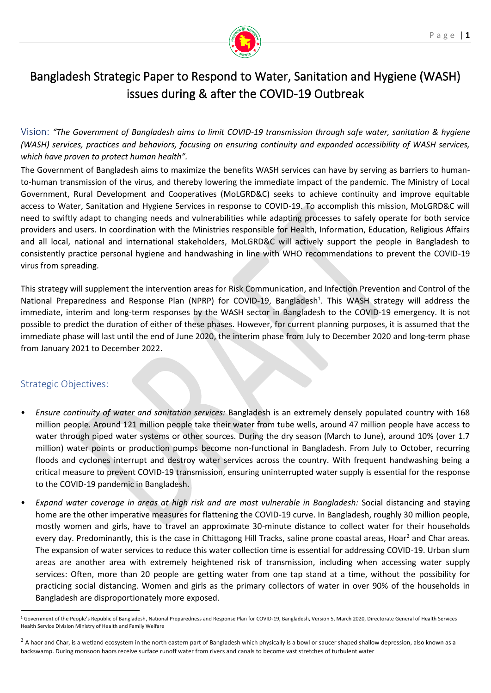

# Bangladesh Strategic Paper to Respond to Water, Sanitation and Hygiene (WASH) issues during & after the COVID-19 Outbreak

Vision: *"The Government of Bangladesh aims to limit COVID-19 transmission through safe water, sanitation & hygiene (WASH) services, practices and behaviors, focusing on ensuring continuity and expanded accessibility of WASH services, which have proven to protect human health".* 

The Government of Bangladesh aims to maximize the benefits WASH services can have by serving as barriers to humanto-human transmission of the virus, and thereby lowering the immediate impact of the pandemic. The Ministry of Local Government, Rural Development and Cooperatives (MoLGRD&C) seeks to achieve continuity and improve equitable access to Water, Sanitation and Hygiene Services in response to COVID-19. To accomplish this mission, MoLGRD&C will need to swiftly adapt to changing needs and vulnerabilities while adapting processes to safely operate for both service providers and users. In coordination with the Ministries responsible for Health, Information, Education, Religious Affairs and all local, national and international stakeholders, MoLGRD&C will actively support the people in Bangladesh to consistently practice personal hygiene and handwashing in line with WHO recommendations to prevent the COVID-19 virus from spreading.

This strategy will supplement the intervention areas for Risk Communication, and Infection Prevention and Control of the National Preparedness and Response Plan (NPRP) for COVID-19, Bangladesh<sup>1</sup>. This WASH strategy will address the immediate, interim and long-term responses by the WASH sector in Bangladesh to the COVID-19 emergency. It is not possible to predict the duration of either of these phases. However, for current planning purposes, it is assumed that the immediate phase will last until the end of June 2020, the interim phase from July to December 2020 and long-term phase from January 2021 to December 2022.

# Strategic Objectives:

- *Ensure continuity of water and sanitation services:* Bangladesh is an extremely densely populated country with 168 million people. Around 121 million people take their water from tube wells, around 47 million people have access to water through piped water systems or other sources. During the dry season (March to June), around 10% (over 1.7 million) water points or production pumps become non-functional in Bangladesh. From July to October, recurring floods and cyclones interrupt and destroy water services across the country. With frequent handwashing being a critical measure to prevent COVID-19 transmission, ensuring uninterrupted water supply is essential for the response to the COVID-19 pandemic in Bangladesh.
- *Expand water coverage in areas at high risk and are most vulnerable in Bangladesh:* Social distancing and staying home are the other imperative measures for flattening the COVID-19 curve. In Bangladesh, roughly 30 million people, mostly women and girls, have to travel an approximate 30-minute distance to collect water for their households every day. Predominantly, this is the case in Chittagong Hill Tracks, saline prone coastal areas, Hoar<sup>2</sup> and Char areas. The expansion of water services to reduce this water collection time is essential for addressing COVID-19. Urban slum areas are another area with extremely heightened risk of transmission, including when accessing water supply services: Often, more than 20 people are getting water from one tap stand at a time, without the possibility for practicing social distancing. Women and girls as the primary collectors of water in over 90% of the households in Bangladesh are disproportionately more exposed.

<sup>&</sup>lt;sup>1</sup> Government of the People's Republic of Bangladesh, National Preparedness and Response Plan for COVID-19, Bangladesh, Version 5, March 2020, Directorate General of Health Services Health Service Division Ministry of Health and Family Welfare

 $2$  A haor and Char, is a wetland ecosystem in the north eastern part of Bangladesh which physically is a bowl or saucer shaped shallow depression, also known as a backswamp. During monsoon haors receive surface runoff water from rivers and canals to become vast stretches of turbulent water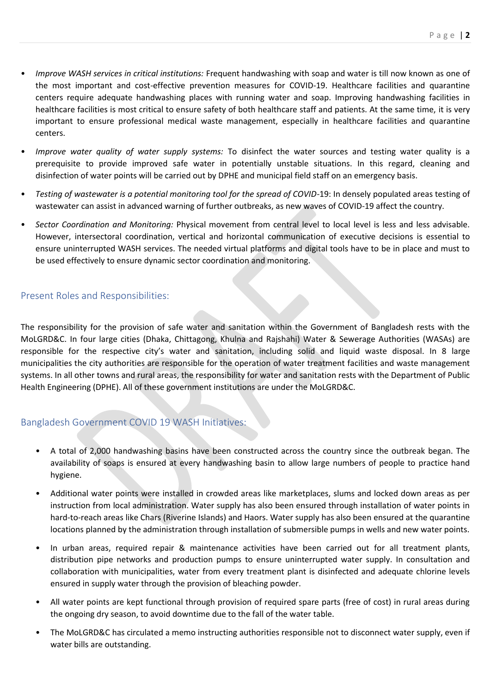- *Improve WASH services in critical institutions:* Frequent handwashing with soap and water is till now known as one of the most important and cost-effective prevention measures for COVID-19. Healthcare facilities and quarantine centers require adequate handwashing places with running water and soap. Improving handwashing facilities in healthcare facilities is most critical to ensure safety of both healthcare staff and patients. At the same time, it is very important to ensure professional medical waste management, especially in healthcare facilities and quarantine centers.
- *Improve water quality of water supply systems:* To disinfect the water sources and testing water quality is a prerequisite to provide improved safe water in potentially unstable situations. In this regard, cleaning and disinfection of water points will be carried out by DPHE and municipal field staff on an emergency basis.
- *Testing of wastewater is a potential monitoring tool for the spread of COVID-*19: In densely populated areas testing of wastewater can assist in advanced warning of further outbreaks, as new waves of COVID-19 affect the country.
- *Sector Coordination and Monitoring:* Physical movement from central level to local level is less and less advisable. However, intersectoral coordination, vertical and horizontal communication of executive decisions is essential to ensure uninterrupted WASH services. The needed virtual platforms and digital tools have to be in place and must to be used effectively to ensure dynamic sector coordination and monitoring.

## Present Roles and Responsibilities:

The responsibility for the provision of safe water and sanitation within the Government of Bangladesh rests with the MoLGRD&C. In four large cities (Dhaka, Chittagong, Khulna and Rajshahi) Water & Sewerage Authorities (WASAs) are responsible for the respective city's water and sanitation, including solid and liquid waste disposal. In 8 large municipalities the city authorities are responsible for the operation of water treatment facilities and waste management systems. In all other towns and rural areas, the responsibility for water and sanitation rests with the Department of Public Health Engineering (DPHE). All of these government institutions are under the MoLGRD&C.

## Bangladesh Government COVID 19 WASH Initiatives:

- A total of 2,000 handwashing basins have been constructed across the country since the outbreak began. The availability of soaps is ensured at every handwashing basin to allow large numbers of people to practice hand hygiene.
- Additional water points were installed in crowded areas like marketplaces, slums and locked down areas as per instruction from local administration. Water supply has also been ensured through installation of water points in hard-to-reach areas like Chars (Riverine Islands) and Haors. Water supply has also been ensured at the quarantine locations planned by the administration through installation of submersible pumps in wells and new water points.
- In urban areas, required repair & maintenance activities have been carried out for all treatment plants, distribution pipe networks and production pumps to ensure uninterrupted water supply. In consultation and collaboration with municipalities, water from every treatment plant is disinfected and adequate chlorine levels ensured in supply water through the provision of bleaching powder.
- All water points are kept functional through provision of required spare parts (free of cost) in rural areas during the ongoing dry season, to avoid downtime due to the fall of the water table.
- The MoLGRD&C has circulated a memo instructing authorities responsible not to disconnect water supply, even if water bills are outstanding.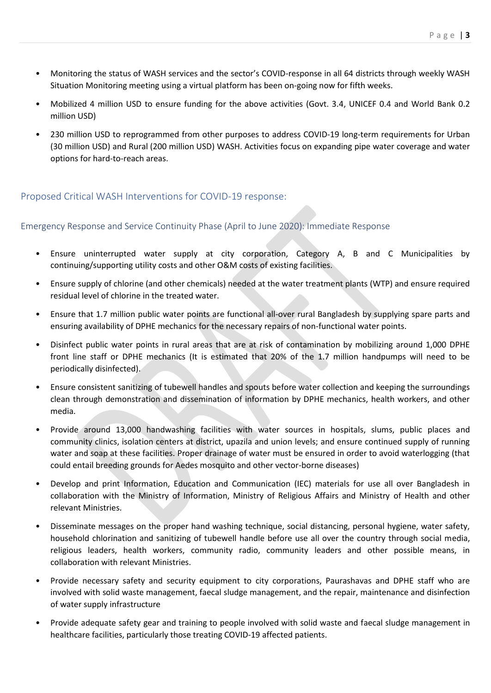- Monitoring the status of WASH services and the sector's COVID-response in all 64 districts through weekly WASH Situation Monitoring meeting using a virtual platform has been on-going now for fifth weeks.
- Mobilized 4 million USD to ensure funding for the above activities (Govt. 3.4, UNICEF 0.4 and World Bank 0.2 million USD)
- 230 million USD to reprogrammed from other purposes to address COVID-19 long-term requirements for Urban (30 million USD) and Rural (200 million USD) WASH. Activities focus on expanding pipe water coverage and water options for hard-to-reach areas.

# Proposed Critical WASH Interventions for COVID-19 response:

## Emergency Response and Service Continuity Phase (April to June 2020): Immediate Response

- Ensure uninterrupted water supply at city corporation, Category A, B and C Municipalities by continuing/supporting utility costs and other O&M costs of existing facilities.
- Ensure supply of chlorine (and other chemicals) needed at the water treatment plants (WTP) and ensure required residual level of chlorine in the treated water.
- Ensure that 1.7 million public water points are functional all-over rural Bangladesh by supplying spare parts and ensuring availability of DPHE mechanics for the necessary repairs of non-functional water points.
- Disinfect public water points in rural areas that are at risk of contamination by mobilizing around 1,000 DPHE front line staff or DPHE mechanics (It is estimated that 20% of the 1.7 million handpumps will need to be periodically disinfected).
- Ensure consistent sanitizing of tubewell handles and spouts before water collection and keeping the surroundings clean through demonstration and dissemination of information by DPHE mechanics, health workers, and other media.
- Provide around 13,000 handwashing facilities with water sources in hospitals, slums, public places and community clinics, isolation centers at district, upazila and union levels; and ensure continued supply of running water and soap at these facilities. Proper drainage of water must be ensured in order to avoid waterlogging (that could entail breeding grounds for Aedes mosquito and other vector-borne diseases)
- Develop and print Information, Education and Communication (IEC) materials for use all over Bangladesh in collaboration with the Ministry of Information, Ministry of Religious Affairs and Ministry of Health and other relevant Ministries.
- Disseminate messages on the proper hand washing technique, social distancing, personal hygiene, water safety, household chlorination and sanitizing of tubewell handle before use all over the country through social media, religious leaders, health workers, community radio, community leaders and other possible means, in collaboration with relevant Ministries.
- Provide necessary safety and security equipment to city corporations, Paurashavas and DPHE staff who are involved with solid waste management, faecal sludge management, and the repair, maintenance and disinfection of water supply infrastructure
- Provide adequate safety gear and training to people involved with solid waste and faecal sludge management in healthcare facilities, particularly those treating COVID-19 affected patients.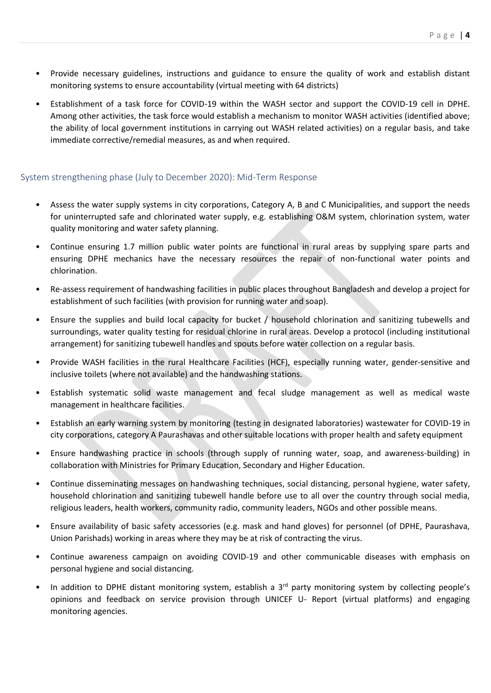- Provide necessary guidelines, instructions and guidance to ensure the quality of work and establish distant monitoring systems to ensure accountability (virtual meeting with 64 districts)
- Establishment of a task force for COVID-19 within the WASH sector and support the COVID-19 cell in DPHE. Among other activities, the task force would establish a mechanism to monitor WASH activities (identified above; the ability of local government institutions in carrying out WASH related activities) on a regular basis, and take immediate corrective/remedial measures, as and when required.

#### System strengthening phase (July to December 2020): Mid-Term Response

- Assess the water supply systems in city corporations, Category A, B and C Municipalities, and support the needs for uninterrupted safe and chlorinated water supply, e.g. establishing O&M system, chlorination system, water quality monitoring and water safety planning.
- Continue ensuring 1.7 million public water points are functional in rural areas by supplying spare parts and ensuring DPHE mechanics have the necessary resources the repair of non-functional water points and chlorination.
- Re-assess requirement of handwashing facilities in public places throughout Bangladesh and develop a project for establishment of such facilities (with provision for running water and soap).
- Ensure the supplies and build local capacity for bucket / household chlorination and sanitizing tubewells and surroundings, water quality testing for residual chlorine in rural areas. Develop a protocol (including institutional arrangement) for sanitizing tubewell handles and spouts before water collection on a regular basis.
- Provide WASH facilities in the rural Healthcare Facilities (HCF), especially running water, gender-sensitive and inclusive toilets (where not available) and the handwashing stations.
- Establish systematic solid waste management and fecal sludge management as well as medical waste management in healthcare facilities.
- Establish an early warning system by monitoring (testing in designated laboratories) wastewater for COVID-19 in city corporations, category A Paurashavas and other suitable locations with proper health and safety equipment
- Ensure handwashing practice in schools (through supply of running water, soap, and awareness-building) in collaboration with Ministries for Primary Education, Secondary and Higher Education.
- Continue disseminating messages on handwashing techniques, social distancing, personal hygiene, water safety, household chlorination and sanitizing tubewell handle before use to all over the country through social media, religious leaders, health workers, community radio, community leaders, NGOs and other possible means.
- Ensure availability of basic safety accessories (e.g. mask and hand gloves) for personnel (of DPHE, Paurashava, Union Parishads) working in areas where they may be at risk of contracting the virus.
- Continue awareness campaign on avoiding COVID-19 and other communicable diseases with emphasis on personal hygiene and social distancing.
- In addition to DPHE distant monitoring system, establish a 3<sup>rd</sup> party monitoring system by collecting people's opinions and feedback on service provision through UNICEF U- Report (virtual platforms) and engaging monitoring agencies.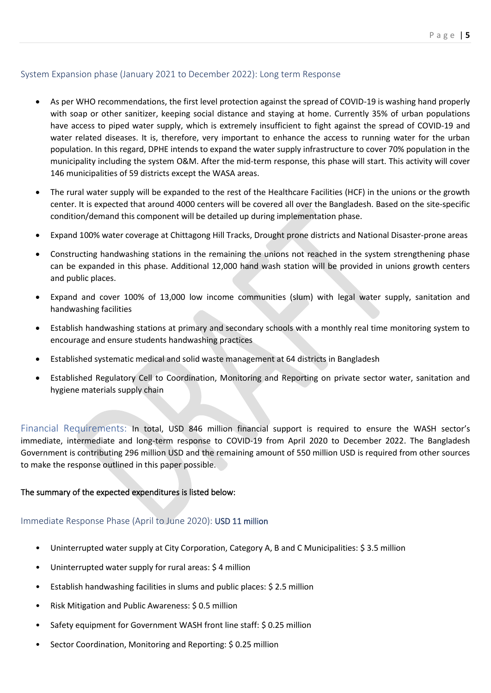#### System Expansion phase (January 2021 to December 2022): Long term Response

- As per WHO recommendations, the first level protection against the spread of COVID-19 is washing hand properly with soap or other sanitizer, keeping social distance and staying at home. Currently 35% of urban populations have access to piped water supply, which is extremely insufficient to fight against the spread of COVID-19 and water related diseases. It is, therefore, very important to enhance the access to running water for the urban population. In this regard, DPHE intends to expand the water supply infrastructure to cover 70% population in the municipality including the system O&M. After the mid-term response, this phase will start. This activity will cover 146 municipalities of 59 districts except the WASA areas.
- The rural water supply will be expanded to the rest of the Healthcare Facilities (HCF) in the unions or the growth center. It is expected that around 4000 centers will be covered all over the Bangladesh. Based on the site-specific condition/demand this component will be detailed up during implementation phase.
- Expand 100% water coverage at Chittagong Hill Tracks, Drought prone districts and National Disaster-prone areas
- Constructing handwashing stations in the remaining the unions not reached in the system strengthening phase can be expanded in this phase. Additional 12,000 hand wash station will be provided in unions growth centers and public places.
- Expand and cover 100% of 13,000 low income communities (slum) with legal water supply, sanitation and handwashing facilities
- Establish handwashing stations at primary and secondary schools with a monthly real time monitoring system to encourage and ensure students handwashing practices
- Established systematic medical and solid waste management at 64 districts in Bangladesh
- Established Regulatory Cell to Coordination, Monitoring and Reporting on private sector water, sanitation and hygiene materials supply chain

Financial Requirements: In total, USD 846 million financial support is required to ensure the WASH sector's immediate, intermediate and long-term response to COVID-19 from April 2020 to December 2022. The Bangladesh Government is contributing 296 million USD and the remaining amount of 550 million USD is required from other sources to make the response outlined in this paper possible.

#### The summary of the expected expenditures is listed below:

## Immediate Response Phase (April to June 2020): USD 11 million

- Uninterrupted water supply at City Corporation, Category A, B and C Municipalities: \$ 3.5 million
- Uninterrupted water supply for rural areas: \$ 4 million
- Establish handwashing facilities in slums and public places: \$ 2.5 million
- Risk Mitigation and Public Awareness: \$ 0.5 million
- Safety equipment for Government WASH front line staff: \$ 0.25 million
- Sector Coordination, Monitoring and Reporting: \$ 0.25 million